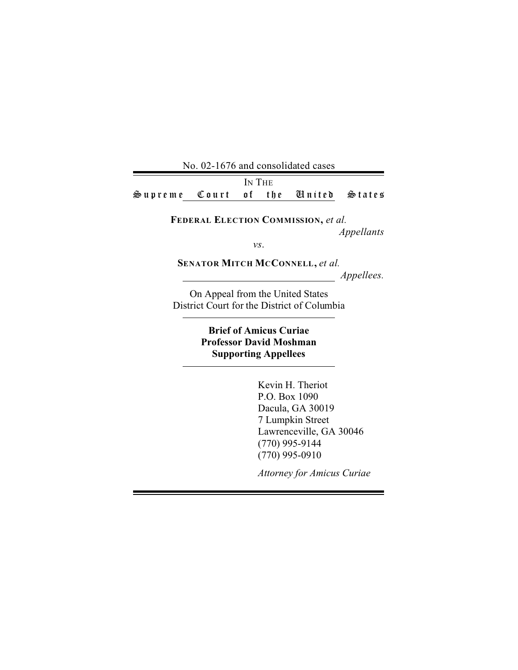No. 02-1676 and consolidated cases IN THE Supreme Court of the United States

**FEDERAL ELECTION COMMISSION,** *et al.* 

*Appellants* 

*vs*.

**SENATOR MITCH MCCONNELL,** *et al.* 

*Appellees.* 

On Appeal from the United States District Court for the District of Columbia

# **Brief of Amicus Curiae Professor David Moshman Supporting Appellees**

Kevin H. Theriot P.O. Box 1090 Dacula, GA 30019 7 Lumpkin Street Lawrenceville, GA 30046 (770) 995-9144 (770) 995-0910

*Attorney for Amicus Curiae*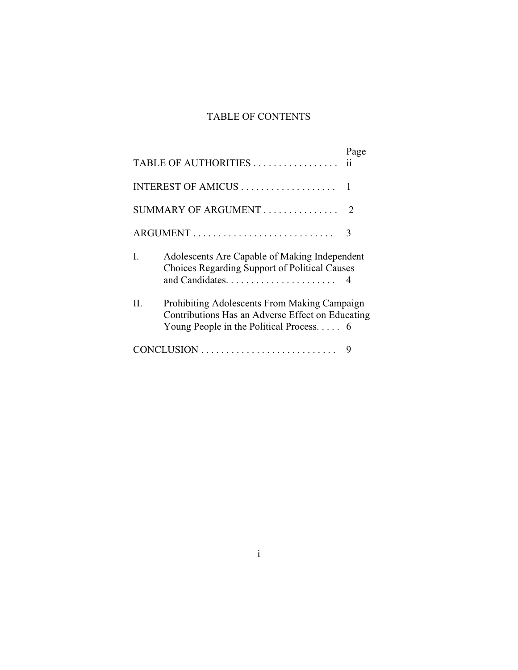# TABLE OF CONTENTS

|                          | TABLE OF AUTHORITIES                                                                                                                                 | Page           |
|--------------------------|------------------------------------------------------------------------------------------------------------------------------------------------------|----------------|
|                          |                                                                                                                                                      |                |
| SUMMARY OF ARGUMENT<br>2 |                                                                                                                                                      |                |
|                          |                                                                                                                                                      | 3              |
| L                        | Adolescents Are Capable of Making Independent<br>Choices Regarding Support of Political Causes                                                       | $\overline{4}$ |
| Н.                       | Prohibiting Adolescents From Making Campaign<br>Contributions Has an Adverse Effect on Educating<br>Young People in the Political Process. $\dots$ 6 |                |
|                          |                                                                                                                                                      | 9              |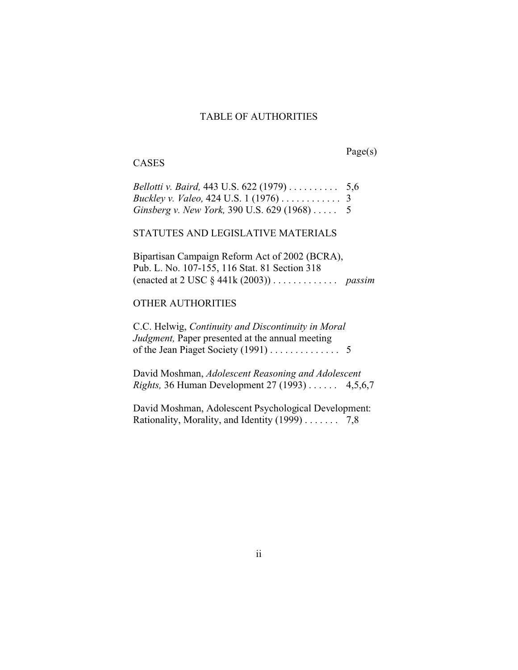# TABLE OF AUTHORITIES

# **CASES**

Page(s)

| <i>Bellotti v. Baird,</i> 443 U.S. $622(1979)$ 5,6 |  |
|----------------------------------------------------|--|
|                                                    |  |
| Ginsberg v. New York, 390 U.S. 629 (1968)  5       |  |

#### STATUTES AND LEGISLATIVE MATERIALS

Bipartisan Campaign Reform Act of 2002 (BCRA), Pub. L. No. 107-155, 116 Stat. 81 Section 318 (enacted at 2 USC § 441k (2003)) . . . . . . . . . . . . . *passim�*

# OTHER AUTHORITIES

C.C. Helwig, *Continuity and Discontinuity in Moral� Judgment,* Paper presented at the annual meeting of the Jean Piaget Society (1991) . . . . . . . . . . . . . 5

David Moshman, *Adolescent Reasoning and Adolescent� Rights,* 36 Human Development 27 (1993) . . . . . . 4,5,6,7

David Moshman, Adolescent Psychological Development: Rationality, Morality, and Identity (1999) . . . . . . . 7,8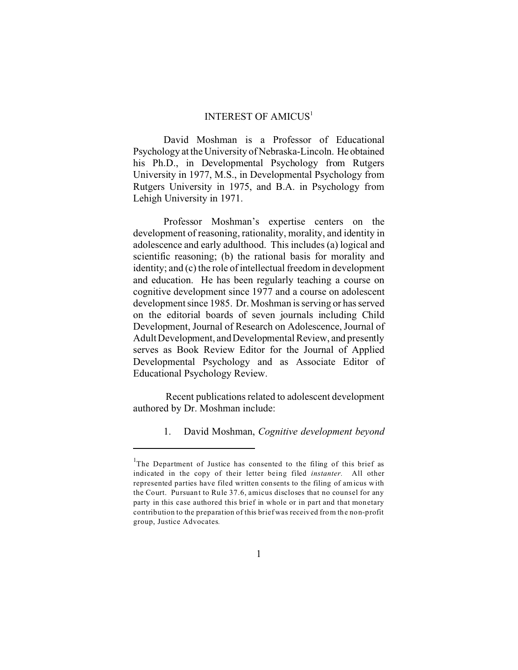## INTEREST OF AMICUS<sup>1</sup>

David Moshman is a Professor of Educational Psychology at the University of Nebraska-Lincoln. He obtained his Ph.D., in Developmental Psychology from Rutgers University in 1977, M.S., in Developmental Psychology from Rutgers University in 1975, and B.A. in Psychology from Lehigh University in 1971.

Professor Moshman's expertise centers on the development of reasoning, rationality, morality, and identity in adolescence and early adulthood. This includes (a) logical and scientific reasoning; (b) the rational basis for morality and identity; and (c) the role of intellectual freedom in development and education. He has been regularly teaching a course on cognitive development since 1977 and a course on adolescent development since 1985. Dr. Moshman is serving or has served on the editorial boards of seven journals including Child Development, Journal of Research on Adolescence, Journal of Adult Development, and Developmental Review, and presently serves as Book Review Editor for the Journal of Applied Developmental Psychology and as Associate Editor of Educational Psychology Review.

Recent publications related to adolescent development authored by Dr. Moshman include:

1. David Moshman, *Cognitive development beyond* 

<sup>&</sup>lt;sup>1</sup>The Department of Justice has consented to the filing of this brief as indicated in the copy of their letter being filed *instanter.* All other represented parties have filed written consents to the filing of amicus with the Court. Pursuant to Rule 37.6, amicus discloses that no counsel for any party in this case authored this brief in whole or in part and that monetary contribution to the preparation of this brief was received from the non-profit group, Justice Advocates*.*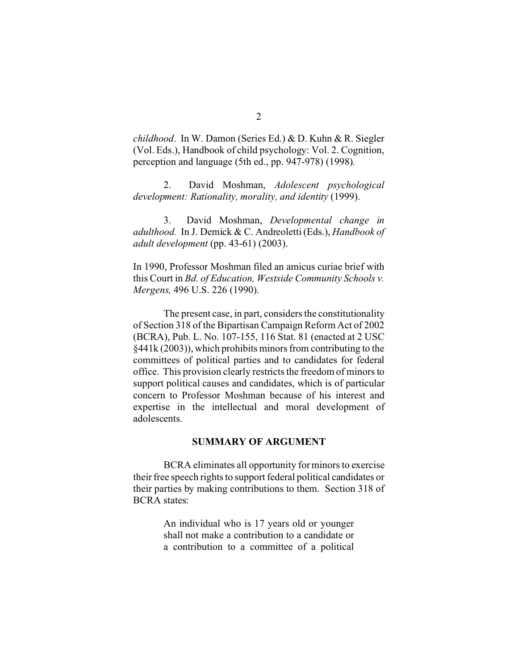*childhood*. In W. Damon (Series Ed.) & D. Kuhn & R. Siegler (Vol. Eds.), Handbook of child psychology: Vol. 2. Cognition, perception and language (5th ed., pp. 947-978) (1998).

2. David Moshman, *Adolescent psychological development: Rationality, morality, and identity* (1999).

3. David Moshman, *Developmental change in adulthood.* In J. Demick & C. Andreoletti (Eds.), *Handbook of adult development* (pp. 43-61) (2003).

In 1990, Professor Moshman filed an amicus curiae brief with this Court in *Bd. of Education, Westside Community Schools v. Mergens,* 496 U.S. 226 (1990).

The present case, in part, considers the constitutionality of Section 318 of the Bipartisan Campaign Reform Act of 2002 (BCRA), Pub. L. No. 107-155, 116 Stat. 81 (enacted at 2 USC §441k (2003)), which prohibits minors from contributing to the committees of political parties and to candidates for federal office. This provision clearly restricts the freedom of minors to support political causes and candidates, which is of particular concern to Professor Moshman because of his interest and expertise in the intellectual and moral development of adolescents.

### **SUMMARY OF ARGUMENT**

BCRA eliminates all opportunity for minors to exercise their free speech rights to support federal political candidates or their parties by making contributions to them. Section 318 of BCRA states:

> An individual who is 17 years old or younger shall not make a contribution to a candidate or a contribution to a committee of a political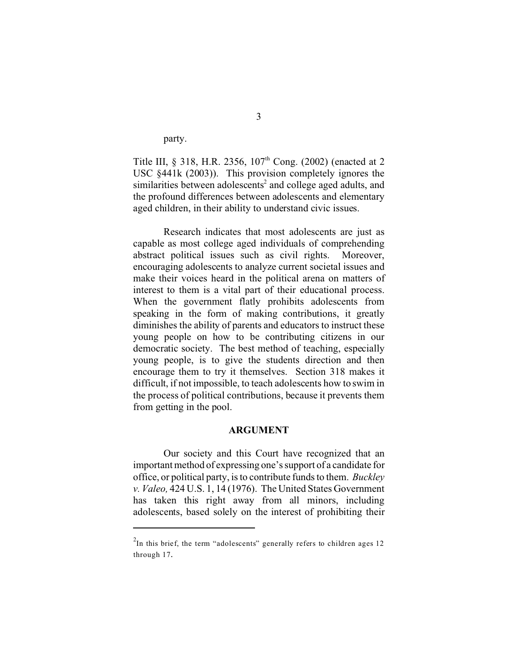party.

Title III, § 318, H.R. 2356, 107<sup>th</sup> Cong. (2002) (enacted at 2 USC §441k (2003)). This provision completely ignores the similarities between adolescents<sup>2</sup> and college aged adults, and the profound differences between adolescents and elementary aged children, in their ability to understand civic issues.

Research indicates that most adolescents are just as capable as most college aged individuals of comprehending abstract political issues such as civil rights. Moreover, encouraging adolescents to analyze current societal issues and make their voices heard in the political arena on matters of interest to them is a vital part of their educational process. When the government flatly prohibits adolescents from speaking in the form of making contributions, it greatly diminishes the ability of parents and educators to instruct these young people on how to be contributing citizens in our democratic society. The best method of teaching, especially young people, is to give the students direction and then encourage them to try it themselves. Section 318 makes it difficult, if not impossible, to teach adolescents how to swim in the process of political contributions, because it prevents them from getting in the pool.

### **ARGUMENT**

Our society and this Court have recognized that an important method of expressing one's support of a candidate for office, or political party, is to contribute funds to them. *Buckley v. Valeo,* 424 U.S. 1, 14 (1976). The United States Government has taken this right away from all minors, including adolescents, based solely on the interest of prohibiting their

 $2$ In this brief, the term "adolescents" generally refers to children ages 12 through 17.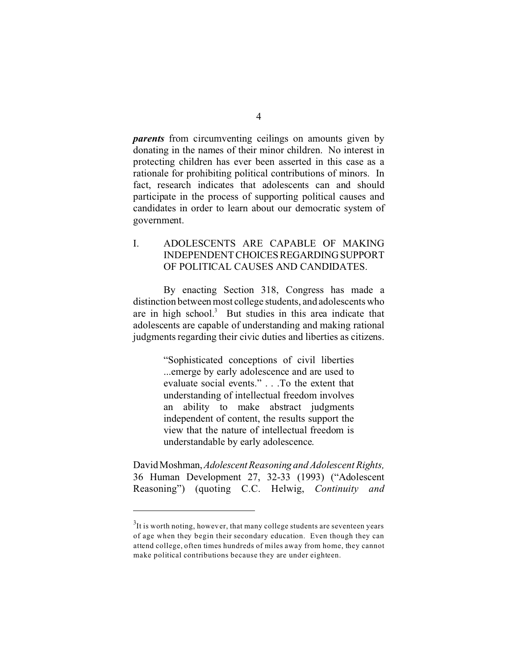*parents* from circumventing ceilings on amounts given by donating in the names of their minor children. No interest in protecting children has ever been asserted in this case as a rationale for prohibiting political contributions of minors. In fact, research indicates that adolescents can and should participate in the process of supporting political causes and candidates in order to learn about our democratic system of government.

# I. ADOLESCENTS ARE CAPABLE OF MAKING INDEPENDENT CHOICESREGARDINGSUPPORT OF POLITICAL CAUSES AND CANDIDATES.

By enacting Section 318, Congress has made a distinction between most college students, and adolescents who are in high school.<sup>3</sup> But studies in this area indicate that adolescents are capable of understanding and making rational judgments regarding their civic duties and liberties as citizens.

> "Sophisticated conceptions of civil liberties ...emerge by early adolescence and are used to evaluate social events." . . .To the extent that understanding of intellectual freedom involves an ability to make abstract judgments independent of content, the results support the view that the nature of intellectual freedom is understandable by early adolescence.

David Moshman, *Adolescent Reasoning and Adolescent Rights,*  36 Human Development 27, 32-33 (1993) ("Adolescent Reasoning") (quoting C.C. Helwig, *Continuity and* 

 $3$ It is worth noting, however, that many college students are seventeen years of age when they begin their secondary education. Even though they can attend college, often times hundreds of miles away from home, they cannot make political contributions because they are under eighteen.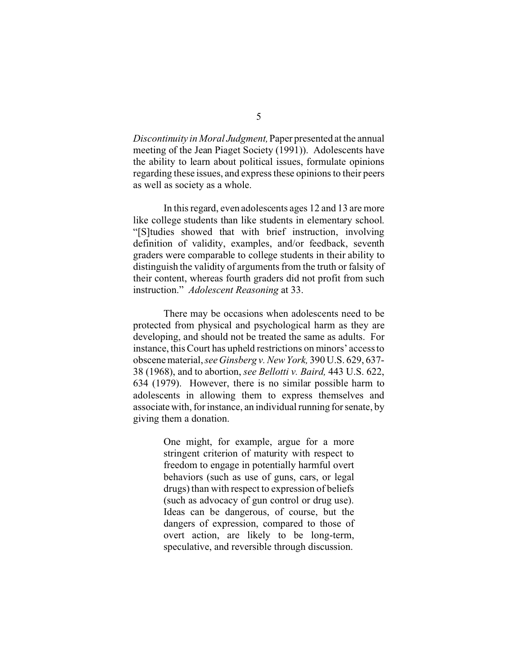*Discontinuity in Moral Judgment,* Paper presented at the annual meeting of the Jean Piaget Society (1991)). Adolescents have the ability to learn about political issues, formulate opinions regarding these issues, and express these opinions to their peers as well as society as a whole.

In this regard, even adolescents ages 12 and 13 are more like college students than like students in elementary school. "[S]tudies showed that with brief instruction, involving definition of validity, examples, and/or feedback, seventh graders were comparable to college students in their ability to distinguish the validity of arguments from the truth or falsity of their content, whereas fourth graders did not profit from such instruction." *Adolescent Reasoning* at 33.

There may be occasions when adolescents need to be protected from physical and psychological harm as they are developing, and should not be treated the same as adults. For instance, this Court has upheld restrictions on minors' access to obscene material, *see Ginsberg v. New York,* 390 U.S. 629, 637- 38 (1968), and to abortion, *see Bellotti v. Baird,* 443 U.S. 622, 634 (1979). However, there is no similar possible harm to adolescents in allowing them to express themselves and associate with, for instance, an individual running for senate, by giving them a donation.

> One might, for example, argue for a more stringent criterion of maturity with respect to freedom to engage in potentially harmful overt behaviors (such as use of guns, cars, or legal drugs) than with respect to expression of beliefs (such as advocacy of gun control or drug use). Ideas can be dangerous, of course, but the dangers of expression, compared to those of overt action, are likely to be long-term, speculative, and reversible through discussion.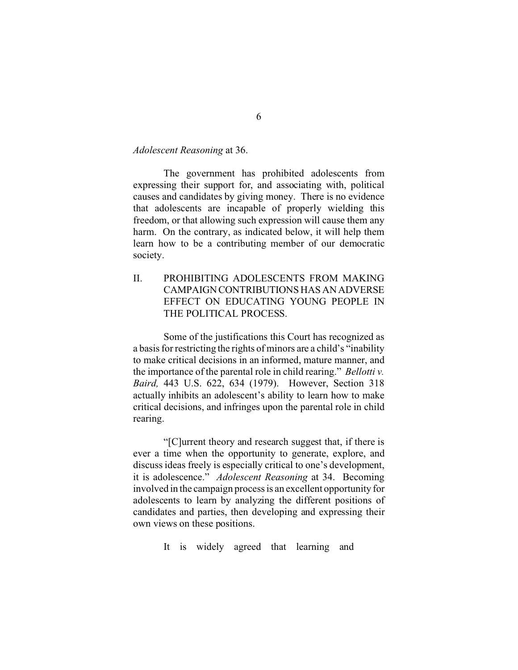### *Adolescent Reasoning* at 36.

The government has prohibited adolescents from expressing their support for, and associating with, political causes and candidates by giving money. There is no evidence that adolescents are incapable of properly wielding this freedom, or that allowing such expression will cause them any harm. On the contrary, as indicated below, it will help them learn how to be a contributing member of our democratic society.

II. PROHIBITING ADOLESCENTS FROM MAKING CAMPAIGNCONTRIBUTIONS HASANADVERSE EFFECT ON EDUCATING YOUNG PEOPLE IN THE POLITICAL PROCESS.

Some of the justifications this Court has recognized as a basis for restricting the rights of minors are a child's "inability to make critical decisions in an informed, mature manner, and the importance of the parental role in child rearing." *Bellotti v. Baird,* 443 U.S. 622, 634 (1979). However, Section 318 actually inhibits an adolescent's ability to learn how to make critical decisions, and infringes upon the parental role in child rearing.

"[C]urrent theory and research suggest that, if there is ever a time when the opportunity to generate, explore, and discuss ideas freely is especially critical to one's development, it is adolescence." *Adolescent Reasoning* at 34. Becoming involved in the campaign process is an excellent opportunity for adolescents to learn by analyzing the different positions of candidates and parties, then developing and expressing their own views on these positions.

It is widely agreed that learning and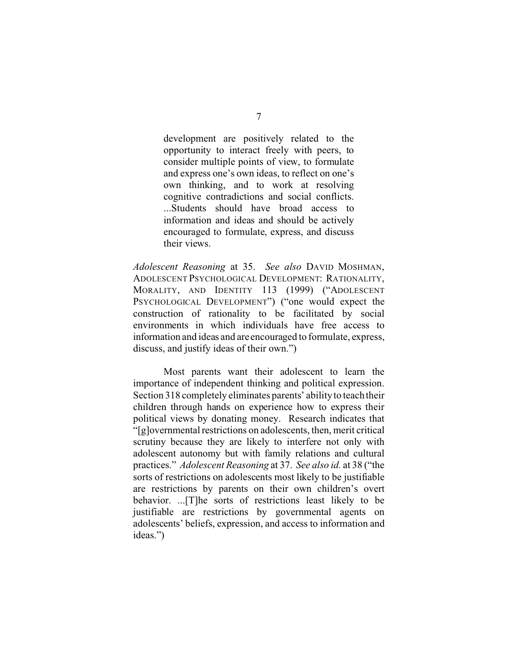development are positively related to the opportunity to interact freely with peers, to consider multiple points of view, to formulate and express one's own ideas, to reflect on one's own thinking, and to work at resolving cognitive contradictions and social conflicts. ...Students should have broad access to information and ideas and should be actively encouraged to formulate, express, and discuss their views.

*Adolescent Reasoning* at 35. *See also* DAVID MOSHMAN, ADOLESCENT PSYCHOLOGICAL DEVELOPMENT: RATIONALITY, MORALITY, AND IDENTITY 113 (1999) ("ADOLESCENT PSYCHOLOGICAL DEVELOPMENT") ("one would expect the construction of rationality to be facilitated by social environments in which individuals have free access to information and ideas and are encouraged to formulate, express, discuss, and justify ideas of their own.")

Most parents want their adolescent to learn the importance of independent thinking and political expression. Section 318 completely eliminates parents' ability to teach their children through hands on experience how to express their political views by donating money. Research indicates that "[g]overnmental restrictions on adolescents, then, merit critical scrutiny because they are likely to interfere not only with adolescent autonomy but with family relations and cultural practices." *Adolescent Reasoning* at 37. *See also id.* at 38 ("the sorts of restrictions on adolescents most likely to be justifiable are restrictions by parents on their own children's overt behavior. ...[T]he sorts of restrictions least likely to be justifiable are restrictions by governmental agents on adolescents' beliefs, expression, and access to information and ideas.")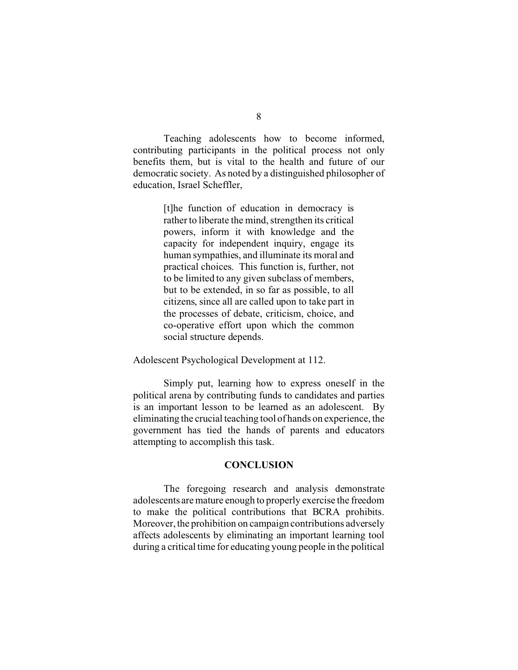Teaching adolescents how to become informed, contributing participants in the political process not only benefits them, but is vital to the health and future of our democratic society. As noted by a distinguished philosopher of education, Israel Scheffler,

> [t]he function of education in democracy is rather to liberate the mind, strengthen its critical powers, inform it with knowledge and the capacity for independent inquiry, engage its human sympathies, and illuminate its moral and practical choices. This function is, further, not to be limited to any given subclass of members, but to be extended, in so far as possible, to all citizens, since all are called upon to take part in the processes of debate, criticism, choice, and co-operative effort upon which the common social structure depends.

Adolescent Psychological Development at 112.

Simply put, learning how to express oneself in the political arena by contributing funds to candidates and parties is an important lesson to be learned as an adolescent. By eliminating the crucial teaching tool of hands on experience, the government has tied the hands of parents and educators attempting to accomplish this task.

#### **CONCLUSION**

The foregoing research and analysis demonstrate adolescents are mature enough to properly exercise the freedom to make the political contributions that BCRA prohibits. Moreover, the prohibition on campaign contributions adversely affects adolescents by eliminating an important learning tool during a critical time for educating young people in the political